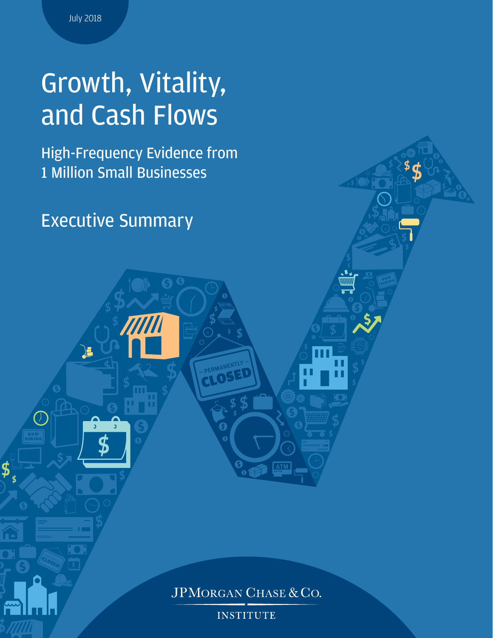# Growth, Vitality, and Cash Flows

High-Frequency Evidence from 1 Million Small Businesses

# Executive Summary

 $\boldsymbol{\phi}^{\dagger}_{\scriptscriptstyle{g}}$ 

JPMORGAN CHASE & CO.

PERMANENTLY

 $\mathcal{C}% _{0}^{(n)}:=\mathcal{C}_{0}^{(n)}$ 

**INSTITUTE**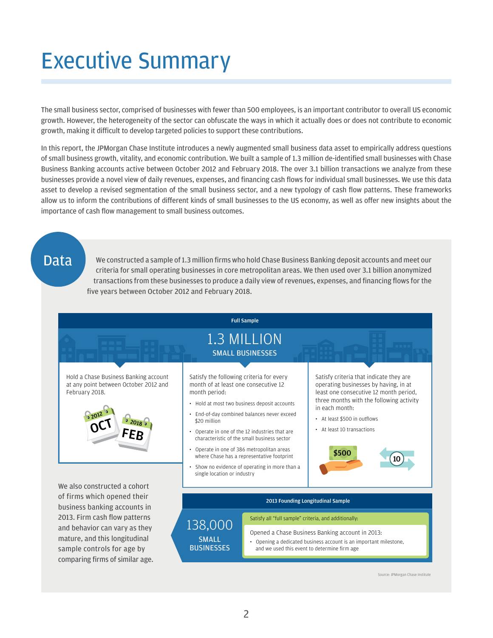# Executive Summary

The small business sector, comprised of businesses with fewer than 500 employees, is an important contributor to overall US economic growth. However, the heterogeneity of the sector can obfuscate the ways in which it actually does or does not contribute to economic growth, making it difficult to develop targeted policies to support these contributions.

In this report, the JPMorgan Chase Institute introduces a newly augmented small business data asset to empirically address questions of small business growth, vitality, and economic contribution. We built a sample of 1.3 million de-identified small businesses with Chase Business Banking accounts active between October 2012 and February 2018. The over 3.1 billion transactions we analyze from these businesses provide a novel view of daily revenues, expenses, and financing cash flows for individual small businesses. We use this data asset to develop a revised segmentation of the small business sector, and a new typology of cash flow patterns. These frameworks allow us to inform the contributions of different kinds of small businesses to the US economy, as well as offer new insights about the importance of cash flow management to small business outcomes.

#### Data

We constructed a sample of 1.3 million firms who hold Chase Business Banking deposit accounts and meet our criteria for small operating businesses in core metropolitan areas. We then used over 3.1 billion anonymized transactions from these businesses to produce a daily view of revenues, expenses, and financing flows for the five years between October 2012 and February 2018.



2013. Firm cash flow patterns and behavior can vary as they mature, and this longitudinal sample controls for age by comparing firms of similar age.

#### Satisfy all "full sample" criteria, and additionally:

• Opening a dedicated business account is an important milestone, Opened a Chase Business Banking account in 2013:

SMALL **BUSINESSES** and we used this event to determine firm age

138,000

Source: JPMorgan Chase Institute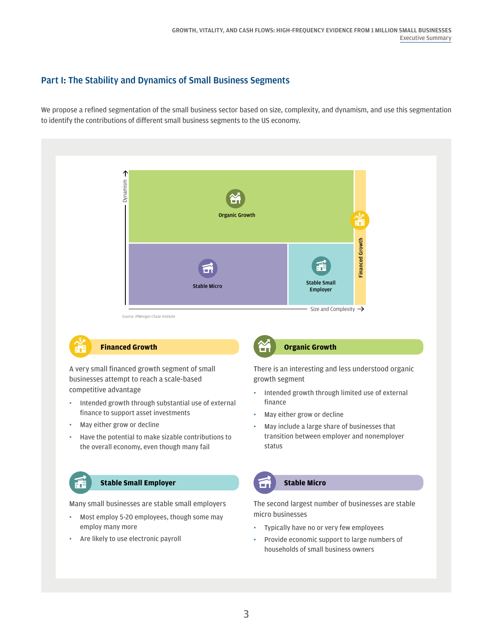#### Part I: The Stability and Dynamics of Small Business Segments

We propose a refined segmentation of the small business sector based on size, complexity, and dynamism, and use this segmentation to identify the contributions of different small business segments to the US economy.



#### **Financed Growth**

A very small financed growth segment of small businesses attempt to reach a scale-based competitive advantage

- *•* Intended growth through substantial use of external finance to support asset investments
- *•* May either grow or decline
- *•* Have the potential to make sizable contributions to the overall economy, even though many fail



#### **Stable Small Employer**

Many small businesses are stable small employers

- *•* Most employ 5-20 employees, though some may employ many more
- *•* Are likely to use electronic payroll



**Organic Growth**

There is an interesting and less understood organic growth segment

- *•* Intended growth through limited use of external finance
- *•* May either grow or decline
- *•* May include a large share of businesses that transition between employer and nonemployer status



#### **Stable Micro**

The second largest number of businesses are stable micro businesses

- *•* Typically have no or very few employees
- *•* Provide economic support to large numbers of households of small business owners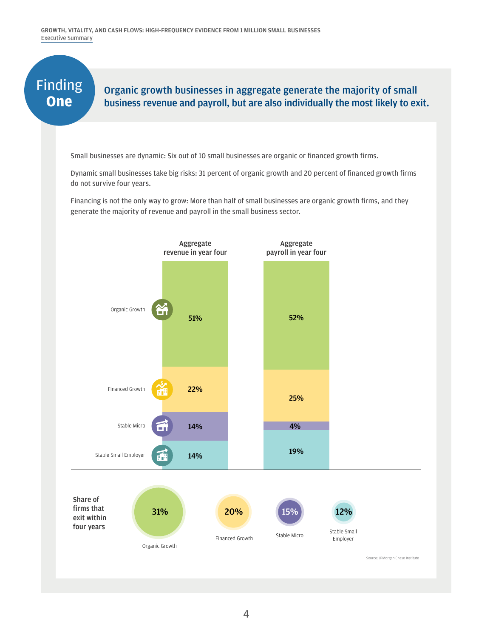Finding **One**

Organic growth businesses in aggregate generate the majority of small business revenue and payroll, but are also individually the most likely to exit.

Small businesses are dynamic: Six out of 10 small businesses are organic or financed growth firms.

Dynamic small businesses take big risks: 31 percent of organic growth and 20 percent of financed growth firms do not survive four years.

Financing is not the only way to grow: More than half of small businesses are organic growth firms, and they generate the majority of revenue and payroll in the small business sector.

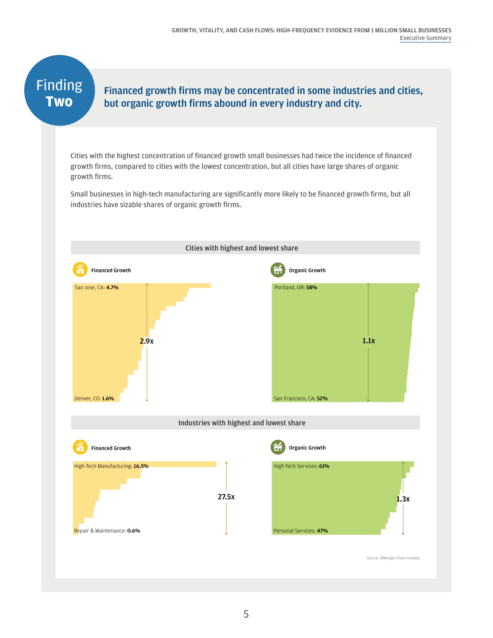## Finding **Two**

#### Financed growth firms may be concentrated in some industries and cities, but organic growth firms abound in every industry and city.

Cities with the highest concentration of financed growth small businesses had twice the incidence of financed growth firms, compared to cities with the lowest concentration, but all cities have large shares of organic growth firms.

Small businesses in high-tech manufacturing are significantly more likely to be financed growth firms, but all industries have sizable shares of organic growth firms.

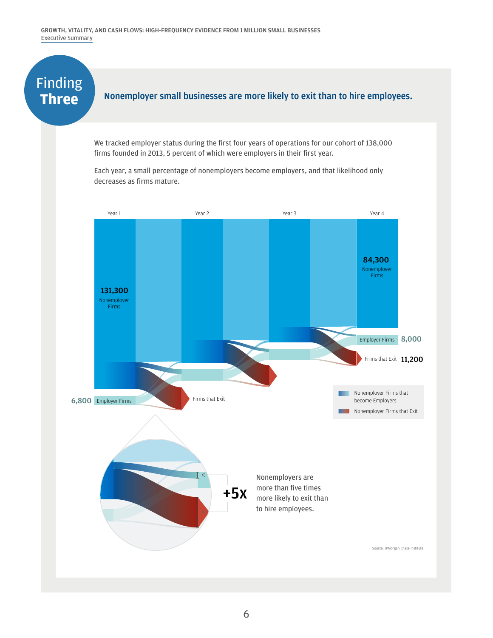# Finding<br>Three

#### Nonemployer small businesses are more likely to exit than to hire employees.

We tracked employer status during the first four years of operations for our cohort of 138,000 firms founded in 2013, 5 percent of which were employers in their first year.

Each year, a small percentage of nonemployers become employers, and that likelihood only decreases as firms mature.

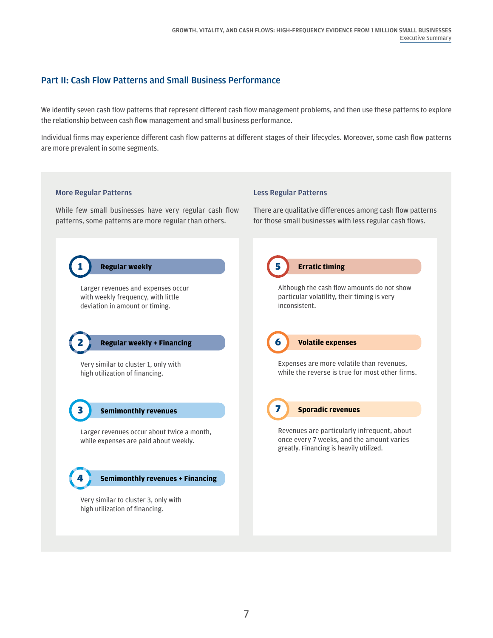#### Part II: Cash Flow Patterns and Small Business Performance

We identify seven cash flow patterns that represent different cash flow management problems, and then use these patterns to explore the relationship between cash flow management and small business performance.

Individual firms may experience different cash flow patterns at different stages of their lifecycles. Moreover, some cash flow patterns are more prevalent in some segments.

#### More Regular Patterns

2

1

While few small businesses have very regular cash flow patterns, some patterns are more regular than others.

#### **Regular weekly**

Larger revenues and expenses occur with weekly frequency, with little deviation in amount or timing.

#### **Regular weekly + Financing**

Very similar to cluster 1, only with high utilization of financing.



Larger revenues occur about twice a month, while expenses are paid about weekly.



Very similar to cluster 3, only with high utilization of financing.

#### Less Regular Patterns

There are qualitative differences among cash flow patterns for those small businesses with less regular cash flows.

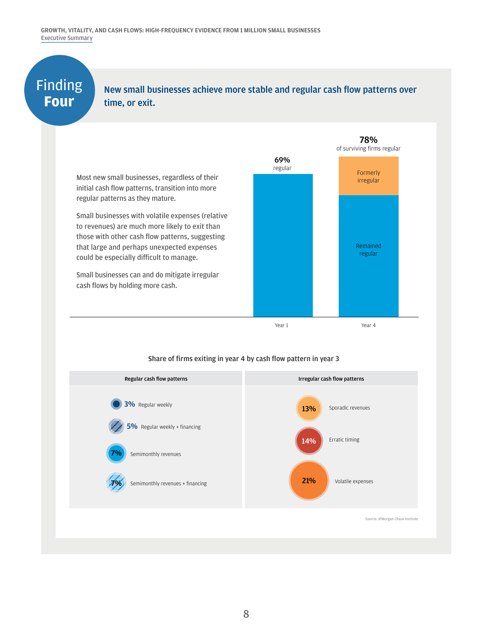GROWTH, VITALITY, AND CASH FLOWS: HIGH-FREQUENCY EVIDENCE FROM 1 MILLION SMALL BUSINESSES Executive Summary

# Finding **Four**

#### New small businesses achieve more stable and regular cash flow patterns over time, or exit.





#### Share of firms exiting in year 4 by cash flow pattern in year 3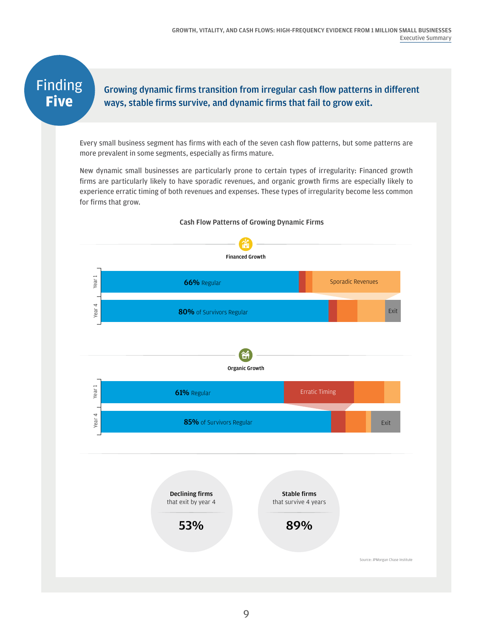## Finding **Five**

Growing dynamic firms transition from irregular cash flow patterns in different ways, stable firms survive, and dynamic firms that fail to grow exit.

Every small business segment has firms with each of the seven cash flow patterns, but some patterns are more prevalent in some segments, especially as firms mature.

New dynamic small businesses are particularly prone to certain types of irregularity: Financed growth firms are particularly likely to have sporadic revenues, and organic growth firms are especially likely to experience erratic timing of both revenues and expenses. These types of irregularity become less common for firms that grow.

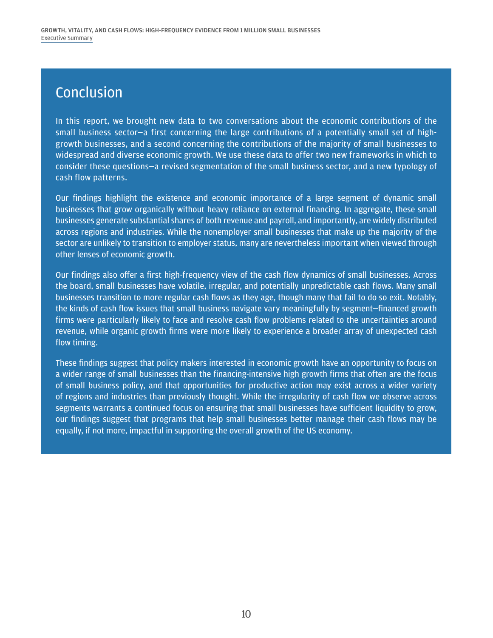### Conclusion

In this report, we brought new data to two conversations about the economic contributions of the small business sector—a first concerning the large contributions of a potentially small set of highgrowth businesses, and a second concerning the contributions of the majority of small businesses to widespread and diverse economic growth. We use these data to offer two new frameworks in which to consider these questions—a revised segmentation of the small business sector, and a new typology of cash flow patterns.

Our findings highlight the existence and economic importance of a large segment of dynamic small businesses that grow organically without heavy reliance on external financing. In aggregate, these small businesses generate substantial shares of both revenue and payroll, and importantly, are widely distributed across regions and industries. While the nonemployer small businesses that make up the majority of the sector are unlikely to transition to employer status, many are nevertheless important when viewed through other lenses of economic growth.

Our findings also offer a first high-frequency view of the cash flow dynamics of small businesses. Across the board, small businesses have volatile, irregular, and potentially unpredictable cash flows. Many small businesses transition to more regular cash flows as they age, though many that fail to do so exit. Notably, the kinds of cash flow issues that small business navigate vary meaningfully by segment—financed growth firms were particularly likely to face and resolve cash flow problems related to the uncertainties around revenue, while organic growth firms were more likely to experience a broader array of unexpected cash flow timing.

These findings suggest that policy makers interested in economic growth have an opportunity to focus on a wider range of small businesses than the financing-intensive high growth firms that often are the focus of small business policy, and that opportunities for productive action may exist across a wider variety of regions and industries than previously thought. While the irregularity of cash flow we observe across segments warrants a continued focus on ensuring that small businesses have sufficient liquidity to grow, our findings suggest that programs that help small businesses better manage their cash flows may be equally, if not more, impactful in supporting the overall growth of the US economy.